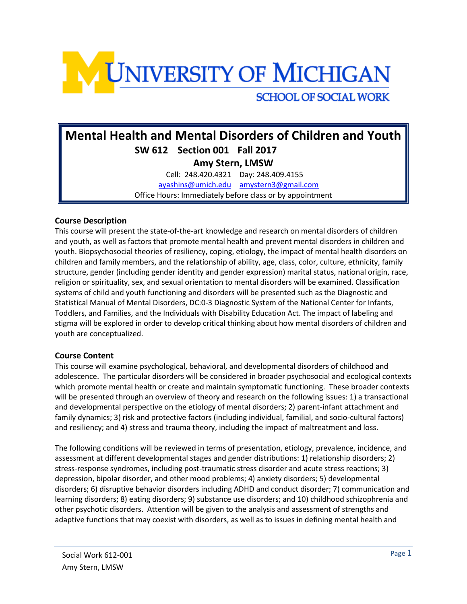

# **Mental Health and Mental Disorders of Children and Youth SW 612 Section 001 Fall 2017 Amy Stern, LMSW** Cell: 248.420.4321 Day: 248.409.4155

[ayashins@umich.edu](mailto:ayashins@umich.edu) [amystern3@gmail.com](mailto:amystern3@gmail.com) Office Hours: Immediately before class or by appointment

## **Course Description**

This course will present the state-of-the-art knowledge and research on mental disorders of children and youth, as well as factors that promote mental health and prevent mental disorders in children and youth. Biopsychosocial theories of resiliency, coping, etiology, the impact of mental health disorders on children and family members, and the relationship of ability, age, class, color, culture, ethnicity, family structure, gender (including gender identity and gender expression) marital status, national origin, race, religion or spirituality, sex, and sexual orientation to mental disorders will be examined. Classification systems of child and youth functioning and disorders will be presented such as the Diagnostic and Statistical Manual of Mental Disorders, DC:0-3 Diagnostic System of the National Center for Infants, Toddlers, and Families, and the Individuals with Disability Education Act. The impact of labeling and stigma will be explored in order to develop critical thinking about how mental disorders of children and youth are conceptualized.

### **Course Content**

This course will examine psychological, behavioral, and developmental disorders of childhood and adolescence. The particular disorders will be considered in broader psychosocial and ecological contexts which promote mental health or create and maintain symptomatic functioning. These broader contexts will be presented through an overview of theory and research on the following issues: 1) a transactional and developmental perspective on the etiology of mental disorders; 2) parent-infant attachment and family dynamics; 3) risk and protective factors (including individual, familial, and socio-cultural factors) and resiliency; and 4) stress and trauma theory, including the impact of maltreatment and loss.

The following conditions will be reviewed in terms of presentation, etiology, prevalence, incidence, and assessment at different developmental stages and gender distributions: 1) relationship disorders; 2) stress-response syndromes, including post-traumatic stress disorder and acute stress reactions; 3) depression, bipolar disorder, and other mood problems; 4) anxiety disorders; 5) developmental disorders; 6) disruptive behavior disorders including ADHD and conduct disorder; 7) communication and learning disorders; 8) eating disorders; 9) substance use disorders; and 10) childhood schizophrenia and other psychotic disorders. Attention will be given to the analysis and assessment of strengths and adaptive functions that may coexist with disorders, as well as to issues in defining mental health and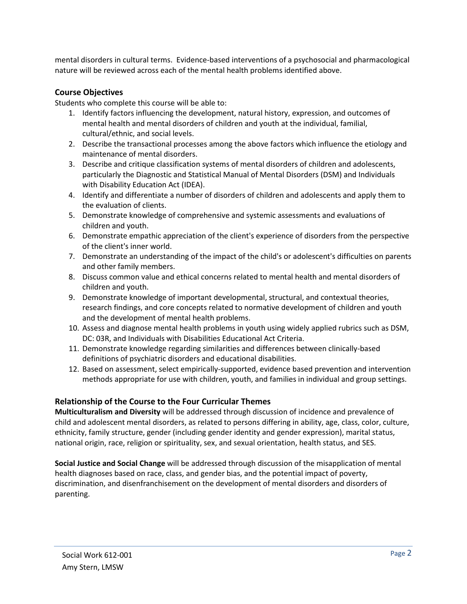mental disorders in cultural terms. Evidence-based interventions of a psychosocial and pharmacological nature will be reviewed across each of the mental health problems identified above.

### **Course Objectives**

Students who complete this course will be able to:

- 1. Identify factors influencing the development, natural history, expression, and outcomes of mental health and mental disorders of children and youth at the individual, familial, cultural/ethnic, and social levels.
- 2. Describe the transactional processes among the above factors which influence the etiology and maintenance of mental disorders.
- 3. Describe and critique classification systems of mental disorders of children and adolescents, particularly the Diagnostic and Statistical Manual of Mental Disorders (DSM) and Individuals with Disability Education Act (IDEA).
- 4. Identify and differentiate a number of disorders of children and adolescents and apply them to the evaluation of clients.
- 5. Demonstrate knowledge of comprehensive and systemic assessments and evaluations of children and youth.
- 6. Demonstrate empathic appreciation of the client's experience of disorders from the perspective of the client's inner world.
- 7. Demonstrate an understanding of the impact of the child's or adolescent's difficulties on parents and other family members.
- 8. Discuss common value and ethical concerns related to mental health and mental disorders of children and youth.
- 9. Demonstrate knowledge of important developmental, structural, and contextual theories, research findings, and core concepts related to normative development of children and youth and the development of mental health problems.
- 10. Assess and diagnose mental health problems in youth using widely applied rubrics such as DSM, DC: 03R, and Individuals with Disabilities Educational Act Criteria.
- 11. Demonstrate knowledge regarding similarities and differences between clinically-based definitions of psychiatric disorders and educational disabilities.
- 12. Based on assessment, select empirically-supported, evidence based prevention and intervention methods appropriate for use with children, youth, and families in individual and group settings.

### **Relationship of the Course to the Four Curricular Themes**

**Multiculturalism and Diversity** will be addressed through discussion of incidence and prevalence of child and adolescent mental disorders, as related to persons differing in ability, age, class, color, culture, ethnicity, family structure, gender (including gender identity and gender expression), marital status, national origin, race, religion or spirituality, sex, and sexual orientation, health status, and SES.

**Social Justice and Social Change** will be addressed through discussion of the misapplication of mental health diagnoses based on race, class, and gender bias, and the potential impact of poverty, discrimination, and disenfranchisement on the development of mental disorders and disorders of parenting.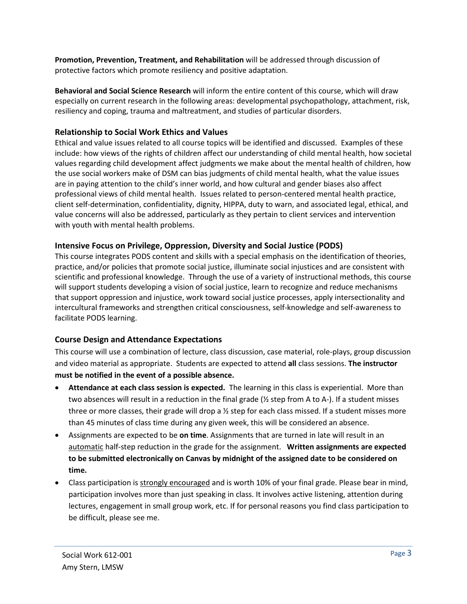**Promotion, Prevention, Treatment, and Rehabilitation** will be addressed through discussion of protective factors which promote resiliency and positive adaptation.

**Behavioral and Social Science Research** will inform the entire content of this course, which will draw especially on current research in the following areas: developmental psychopathology, attachment, risk, resiliency and coping, trauma and maltreatment, and studies of particular disorders.

## **Relationship to Social Work Ethics and Values**

Ethical and value issues related to all course topics will be identified and discussed. Examples of these include: how views of the rights of children affect our understanding of child mental health, how societal values regarding child development affect judgments we make about the mental health of children, how the use social workers make of DSM can bias judgments of child mental health, what the value issues are in paying attention to the child's inner world, and how cultural and gender biases also affect professional views of child mental health. Issues related to person-centered mental health practice, client self-determination, confidentiality, dignity, HIPPA, duty to warn, and associated legal, ethical, and value concerns will also be addressed, particularly as they pertain to client services and intervention with youth with mental health problems.

## **Intensive Focus on Privilege, Oppression, Diversity and Social Justice (PODS)**

This course integrates PODS content and skills with a special emphasis on the identification of theories, practice, and/or policies that promote social justice, illuminate social injustices and are consistent with scientific and professional knowledge. Through the use of a variety of instructional methods, this course will support students developing a vision of social justice, learn to recognize and reduce mechanisms that support oppression and injustice, work toward social justice processes, apply intersectionality and intercultural frameworks and strengthen critical consciousness, self-knowledge and self-awareness to facilitate PODS learning.

## **Course Design and Attendance Expectations**

This course will use a combination of lecture, class discussion, case material, role-plays, group discussion and video material as appropriate. Students are expected to attend **all** class sessions. **The instructor must be notified in the event of a possible absence.** 

- **Attendance at each class session is expected.** The learning in this class is experiential. More than two absences will result in a reduction in the final grade (½ step from A to A-). If a student misses three or more classes, their grade will drop a  $\frac{1}{2}$  step for each class missed. If a student misses more than 45 minutes of class time during any given week, this will be considered an absence.
- Assignments are expected to be **on time**. Assignments that are turned in late will result in an automatic half-step reduction in the grade for the assignment. **Written assignments are expected to be submitted electronically on Canvas by midnight of the assigned date to be considered on time.**
- Class participation is strongly encouraged and is worth 10% of your final grade. Please bear in mind, participation involves more than just speaking in class. It involves active listening, attention during lectures, engagement in small group work, etc. If for personal reasons you find class participation to be difficult, please see me.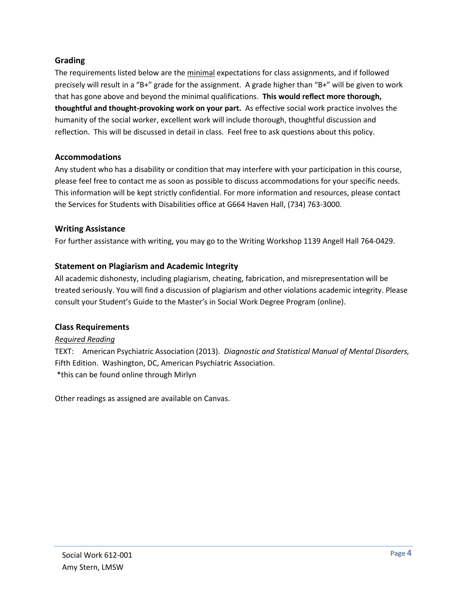## **Grading**

The requirements listed below are the minimal expectations for class assignments, and if followed precisely will result in a "B+" grade for the assignment. A grade higher than "B+" will be given to work that has gone above and beyond the minimal qualifications. **This would reflect more thorough, thoughtful and thought-provoking work on your part.** As effective social work practice involves the humanity of the social worker, excellent work will include thorough, thoughtful discussion and reflection. This will be discussed in detail in class. Feel free to ask questions about this policy.

## **Accommodations**

Any student who has a disability or condition that may interfere with your participation in this course, please feel free to contact me as soon as possible to discuss accommodations for your specific needs. This information will be kept strictly confidential. For more information and resources, please contact the Services for Students with Disabilities office at G664 Haven Hall, (734) 763-3000.

## **Writing Assistance**

For further assistance with writing, you may go to the Writing Workshop 1139 Angell Hall 764-0429.

## **Statement on Plagiarism and Academic Integrity**

All academic dishonesty, including plagiarism, cheating, fabrication, and misrepresentation will be treated seriously. You will find a discussion of plagiarism and other violations academic integrity. Please consult your Student's Guide to the Master's in Social Work Degree Program (online).

## **Class Requirements**

## *Required Reading*

TEXT: American Psychiatric Association (2013). *Diagnostic and Statistical Manual of Mental Disorders,*  Fifth Edition. Washington, DC, American Psychiatric Association. \*this can be found online through Mirlyn

Other readings as assigned are available on Canvas.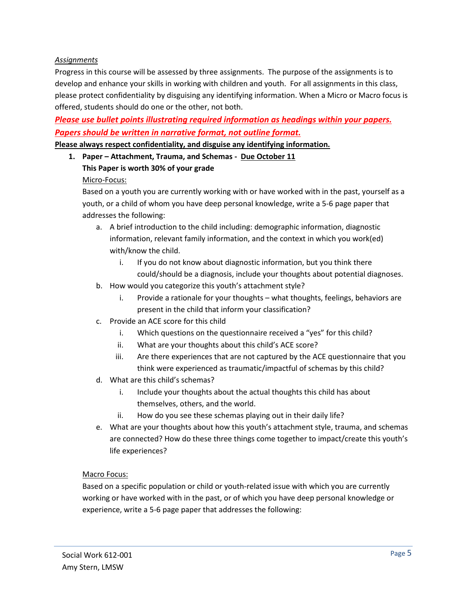### *Assignments*

Progress in this course will be assessed by three assignments. The purpose of the assignments is to develop and enhance your skills in working with children and youth. For all assignments in this class, please protect confidentiality by disguising any identifying information. When a Micro or Macro focus is offered, students should do one or the other, not both.

*Please use bullet points illustrating required information as headings within your papers. Papers should be written in narrative format, not outline format.*

**Please always respect confidentiality, and disguise any identifying information.**

**1. Paper – Attachment, Trauma, and Schemas - Due October 11**

### **This Paper is worth 30% of your grade**

### Micro-Focus:

Based on a youth you are currently working with or have worked with in the past, yourself as a youth, or a child of whom you have deep personal knowledge, write a 5-6 page paper that addresses the following:

- a. A brief introduction to the child including: demographic information, diagnostic information, relevant family information, and the context in which you work(ed) with/know the child.
	- i. If you do not know about diagnostic information, but you think there could/should be a diagnosis, include your thoughts about potential diagnoses.
- b. How would you categorize this youth's attachment style?
	- i. Provide a rationale for your thoughts what thoughts, feelings, behaviors are present in the child that inform your classification?
- c. Provide an ACE score for this child
	- i. Which questions on the questionnaire received a "yes" for this child?
	- ii. What are your thoughts about this child's ACE score?
	- iii. Are there experiences that are not captured by the ACE questionnaire that you think were experienced as traumatic/impactful of schemas by this child?
- d. What are this child's schemas?
	- i. Include your thoughts about the actual thoughts this child has about themselves, others, and the world.
	- ii. How do you see these schemas playing out in their daily life?
- e. What are your thoughts about how this youth's attachment style, trauma, and schemas are connected? How do these three things come together to impact/create this youth's life experiences?

### Macro Focus:

Based on a specific population or child or youth-related issue with which you are currently working or have worked with in the past, or of which you have deep personal knowledge or experience, write a 5-6 page paper that addresses the following: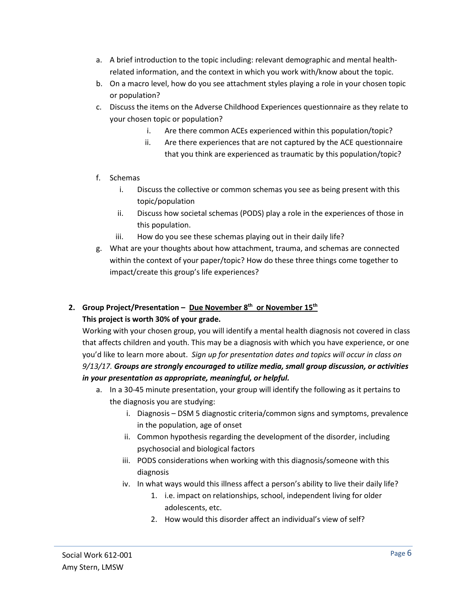- a. A brief introduction to the topic including: relevant demographic and mental healthrelated information, and the context in which you work with/know about the topic.
- b. On a macro level, how do you see attachment styles playing a role in your chosen topic or population?
- c. Discuss the items on the Adverse Childhood Experiences questionnaire as they relate to your chosen topic or population?
	- i. Are there common ACEs experienced within this population/topic?
	- ii. Are there experiences that are not captured by the ACE questionnaire that you think are experienced as traumatic by this population/topic?
- f. Schemas
	- i. Discuss the collective or common schemas you see as being present with this topic/population
	- ii. Discuss how societal schemas (PODS) play a role in the experiences of those in this population.
	- iii. How do you see these schemas playing out in their daily life?
- g. What are your thoughts about how attachment, trauma, and schemas are connected within the context of your paper/topic? How do these three things come together to impact/create this group's life experiences?

## **2. Group Project/Presentation – Due November 8th or November 15th This project is worth 30% of your grade.**

Working with your chosen group, you will identify a mental health diagnosis not covered in class that affects children and youth. This may be a diagnosis with which you have experience, or one you'd like to learn more about. *Sign up for presentation dates and topics will occur in class on 9/13/17. Groups are strongly encouraged to utilize media, small group discussion, or activities in your presentation as appropriate, meaningful, or helpful.*

- a. In a 30-45 minute presentation, your group will identify the following as it pertains to the diagnosis you are studying:
	- i. Diagnosis DSM 5 diagnostic criteria/common signs and symptoms, prevalence in the population, age of onset
	- ii. Common hypothesis regarding the development of the disorder, including psychosocial and biological factors
	- iii. PODS considerations when working with this diagnosis/someone with this diagnosis
	- iv. In what ways would this illness affect a person's ability to live their daily life?
		- 1. i.e. impact on relationships, school, independent living for older adolescents, etc.
		- 2. How would this disorder affect an individual's view of self?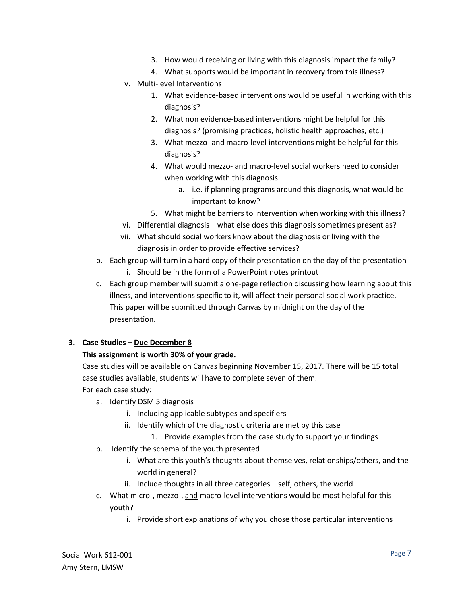- 3. How would receiving or living with this diagnosis impact the family?
- 4. What supports would be important in recovery from this illness?
- v. Multi-level Interventions
	- 1. What evidence-based interventions would be useful in working with this diagnosis?
	- 2. What non evidence-based interventions might be helpful for this diagnosis? (promising practices, holistic health approaches, etc.)
	- 3. What mezzo- and macro-level interventions might be helpful for this diagnosis?
	- 4. What would mezzo- and macro-level social workers need to consider when working with this diagnosis
		- a. i.e. if planning programs around this diagnosis, what would be important to know?
	- 5. What might be barriers to intervention when working with this illness?
- vi. Differential diagnosis what else does this diagnosis sometimes present as?
- vii. What should social workers know about the diagnosis or living with the diagnosis in order to provide effective services?
- b. Each group will turn in a hard copy of their presentation on the day of the presentation
	- i. Should be in the form of a PowerPoint notes printout
- c. Each group member will submit a one-page reflection discussing how learning about this illness, and interventions specific to it, will affect their personal social work practice. This paper will be submitted through Canvas by midnight on the day of the presentation.

### **3. Case Studies – Due December 8**

### **This assignment is worth 30% of your grade.**

Case studies will be available on Canvas beginning November 15, 2017. There will be 15 total case studies available, students will have to complete seven of them.

- For each case study:
	- a. Identify DSM 5 diagnosis
		- i. Including applicable subtypes and specifiers
		- ii. Identify which of the diagnostic criteria are met by this case
			- 1. Provide examples from the case study to support your findings
	- b. Identify the schema of the youth presented
		- i. What are this youth's thoughts about themselves, relationships/others, and the world in general?
		- ii. Include thoughts in all three categories self, others, the world
	- c. What micro-, mezzo-, and macro-level interventions would be most helpful for this youth?
		- i. Provide short explanations of why you chose those particular interventions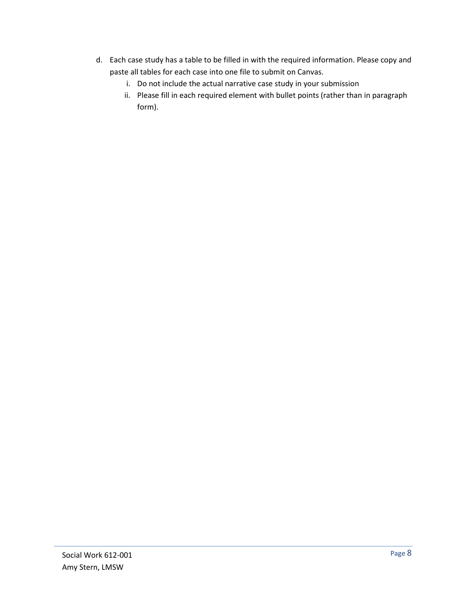- d. Each case study has a table to be filled in with the required information. Please copy and paste all tables for each case into one file to submit on Canvas.
	- i. Do not include the actual narrative case study in your submission
	- ii. Please fill in each required element with bullet points (rather than in paragraph form).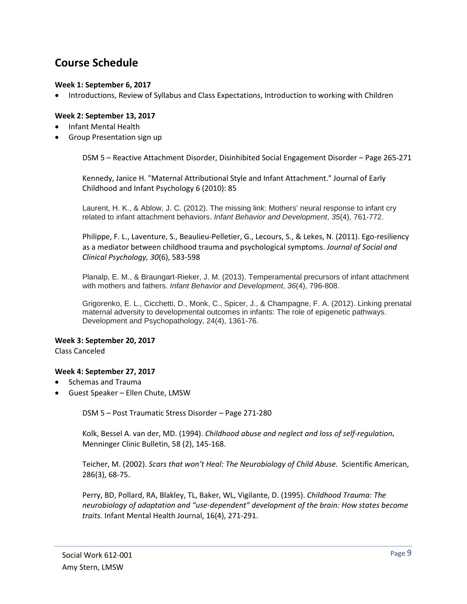# **Course Schedule**

### **Week 1: September 6, 2017**

• Introductions, Review of Syllabus and Class Expectations, Introduction to working with Children

### **Week 2: September 13, 2017**

- Infant Mental Health
- Group Presentation sign up

DSM 5 – Reactive Attachment Disorder, Disinhibited Social Engagement Disorder – Page 265-271

Kennedy, Janice H. "Maternal Attributional Style and Infant Attachment." Journal of Early Childhood and Infant Psychology 6 (2010): 85

Laurent, H. K., & Ablow, J. C. (2012). The missing link: Mothers' neural response to infant cry related to infant attachment behaviors. *Infant Behavior and Development*, *35*(4), 761-772.

Philippe, F. L., Laventure, S., Beaulieu-Pelletier, G., Lecours, S., & Lekes, N. (2011). Ego-resiliency as a mediator between childhood trauma and psychological symptoms. *Journal of Social and Clinical Psychology, 30*(6), 583-598

Planalp, E. M., & Braungart-Rieker, J. M. (2013). Temperamental precursors of infant attachment with mothers and fathers. *Infant Behavior and Development*, *36*(4), 796-808.

Grigorenko, E. L., Cicchetti, D., Monk, C., Spicer, J., & Champagne, F. A. (2012). Linking prenatal maternal adversity to developmental outcomes in infants: The role of epigenetic pathways. Development and Psychopathology, 24(4), 1361-76.

**Week 3: September 20, 2017**  Class Canceled

### **Week 4: September 27, 2017**

- Schemas and Trauma
- Guest Speaker Ellen Chute, LMSW

DSM 5 – Post Traumatic Stress Disorder – Page 271-280

Kolk, Bessel A. van der, MD. (1994). *Childhood abuse and neglect and loss of self-regulation.* Menninger Clinic Bulletin, 58 (2), 145-168.

Teicher, M. (2002). *Scars that won't Heal: The Neurobiology of Child Abuse.* Scientific American, 286(3), 68-75.

Perry, BD, Pollard, RA, Blakley, TL, Baker, WL, Vigilante, D. (1995). *Childhood Trauma: The neurobiology of adaptation and "use-dependent" development of the brain: How states become traits.* Infant Mental Health Journal, 16(4), 271-291.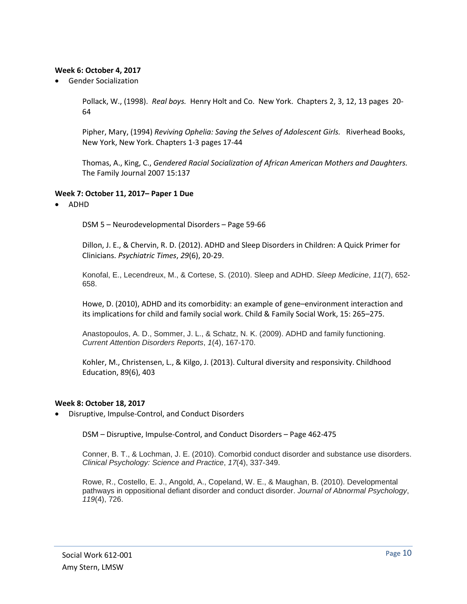### **Week 6: October 4, 2017**

• Gender Socialization

Pollack, W., (1998). *Real boys.* Henry Holt and Co. New York. Chapters 2, 3, 12, 13 pages 20- 64

Pipher, Mary, (1994) *Reviving Ophelia: Saving the Selves of Adolescent Girls.* Riverhead Books, New York, New York. Chapters 1-3 pages 17-44

Thomas, A., King, C., *Gendered Racial Socialization of African American Mothers and Daughters.*  The Family Journal 2007 15:137

### **Week 7: October 11, 2017– Paper 1 Due**

• ADHD

DSM 5 – Neurodevelopmental Disorders – Page 59-66

Dillon, J. E., & Chervin, R. D. (2012). ADHD and Sleep Disorders in Children: A Quick Primer for Clinicians. *Psychiatric Times*, *29*(6), 20-29.

Konofal, E., Lecendreux, M., & Cortese, S. (2010). Sleep and ADHD. *Sleep Medicine*, *11*(7), 652- 658.

Howe, D. (2010), ADHD and its comorbidity: an example of gene–environment interaction and its implications for child and family social work. Child & Family Social Work, 15: 265–275.

Anastopoulos, A. D., Sommer, J. L., & Schatz, N. K. (2009). ADHD and family functioning. *Current Attention Disorders Reports*, *1*(4), 167-170.

Kohler, M., Christensen, L., & Kilgo, J. (2013). Cultural diversity and responsivity. Childhood Education, 89(6), 403

### **Week 8: October 18, 2017**

• Disruptive, Impulse-Control, and Conduct Disorders

DSM – Disruptive, Impulse-Control, and Conduct Disorders – Page 462-475

Conner, B. T., & Lochman, J. E. (2010). Comorbid conduct disorder and substance use disorders. *Clinical Psychology: Science and Practice*, *17*(4), 337-349.

Rowe, R., Costello, E. J., Angold, A., Copeland, W. E., & Maughan, B. (2010). Developmental pathways in oppositional defiant disorder and conduct disorder. *Journal of Abnormal Psychology*, *119*(4), 726.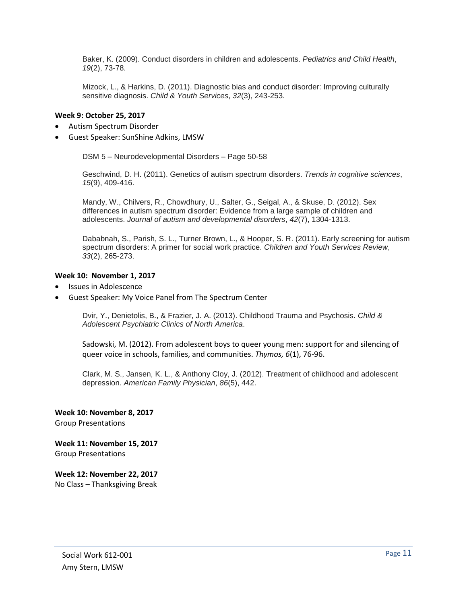Baker, K. (2009). Conduct disorders in children and adolescents. *Pediatrics and Child Health*, *19*(2), 73-78.

Mizock, L., & Harkins, D. (2011). Diagnostic bias and conduct disorder: Improving culturally sensitive diagnosis. *Child & Youth Services*, *32*(3), 243-253.

### **Week 9: October 25, 2017**

- Autism Spectrum Disorder
- Guest Speaker: SunShine Adkins, LMSW

DSM 5 – Neurodevelopmental Disorders – Page 50-58

Geschwind, D. H. (2011). Genetics of autism spectrum disorders. *Trends in cognitive sciences*, *15*(9), 409-416.

Mandy, W., Chilvers, R., Chowdhury, U., Salter, G., Seigal, A., & Skuse, D. (2012). Sex differences in autism spectrum disorder: Evidence from a large sample of children and adolescents. *Journal of autism and developmental disorders*, *42*(7), 1304-1313.

Dababnah, S., Parish, S. L., Turner Brown, L., & Hooper, S. R. (2011). Early screening for autism spectrum disorders: A primer for social work practice. *Children and Youth Services Review*, *33*(2), 265-273.

#### **Week 10: November 1, 2017**

- Issues in Adolescence
- Guest Speaker: My Voice Panel from The Spectrum Center

Dvir, Y., Denietolis, B., & Frazier, J. A. (2013). Childhood Trauma and Psychosis. *Child & Adolescent Psychiatric Clinics of North America*.

Sadowski, M. (2012). From adolescent boys to queer young men: support for and silencing of queer voice in schools, families, and communities. *Thymos, 6*(1), 76-96.

Clark, M. S., Jansen, K. L., & Anthony Cloy, J. (2012). Treatment of childhood and adolescent depression. *American Family Physician*, *86*(5), 442.

**Week 10: November 8, 2017** Group Presentations

**Week 11: November 15, 2017** Group Presentations

**Week 12: November 22, 2017** No Class – Thanksgiving Break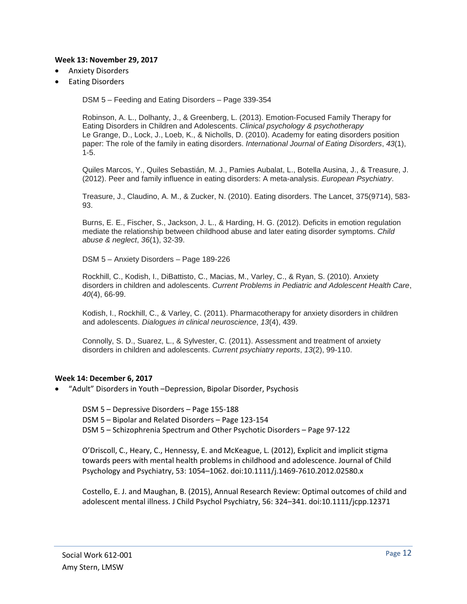### **Week 13: November 29, 2017**

- Anxiety Disorders
- Eating Disorders

DSM 5 – Feeding and Eating Disorders – Page 339-354

Robinson, A. L., Dolhanty, J., & Greenberg, L. (2013). Emotion‐Focused Family Therapy for Eating Disorders in Children and Adolescents. *Clinical psychology & psychotherapy* Le Grange, D., Lock, J., Loeb, K., & Nicholls, D. (2010). Academy for eating disorders position paper: The role of the family in eating disorders. *International Journal of Eating Disorders*, *43*(1), 1-5.

Quiles Marcos, Y., Quiles Sebastián, M. J., Pamies Aubalat, L., Botella Ausina, J., & Treasure, J. (2012). Peer and family influence in eating disorders: A meta-analysis. *European Psychiatry*.

Treasure, J., Claudino, A. M., & Zucker, N. (2010). Eating disorders. The Lancet, 375(9714), 583- 93.

Burns, E. E., Fischer, S., Jackson, J. L., & Harding, H. G. (2012). Deficits in emotion regulation mediate the relationship between childhood abuse and later eating disorder symptoms. *Child abuse & neglect*, *36*(1), 32-39.

DSM 5 – Anxiety Disorders – Page 189-226

Rockhill, C., Kodish, I., DiBattisto, C., Macias, M., Varley, C., & Ryan, S. (2010). Anxiety disorders in children and adolescents. *Current Problems in Pediatric and Adolescent Health Care*, *40*(4), 66-99.

Kodish, I., Rockhill, C., & Varley, C. (2011). Pharmacotherapy for anxiety disorders in children and adolescents. *Dialogues in clinical neuroscience*, *13*(4), 439.

Connolly, S. D., Suarez, L., & Sylvester, C. (2011). Assessment and treatment of anxiety disorders in children and adolescents. *Current psychiatry reports*, *13*(2), 99-110.

### **Week 14: December 6, 2017**

• "Adult" Disorders in Youth –Depression, Bipolar Disorder, Psychosis

DSM 5 – Depressive Disorders – Page 155-188 DSM 5 – Bipolar and Related Disorders – Page 123-154 DSM 5 – Schizophrenia Spectrum and Other Psychotic Disorders – Page 97-122

O'Driscoll, C., Heary, C., Hennessy, E. and McKeague, L. (2012), Explicit and implicit stigma towards peers with mental health problems in childhood and adolescence. Journal of Child Psychology and Psychiatry, 53: 1054–1062. doi:10.1111/j.1469-7610.2012.02580.x

Costello, E. J. and Maughan, B. (2015), Annual Research Review: Optimal outcomes of child and adolescent mental illness. J Child Psychol Psychiatry, 56: 324–341. doi:10.1111/jcpp.12371